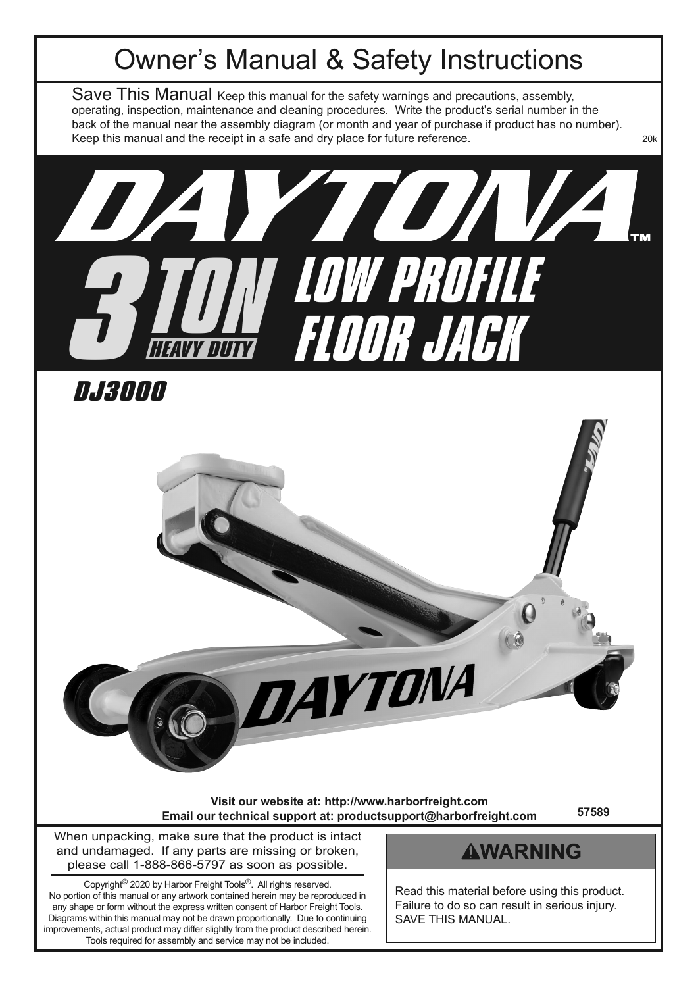# Owner's Manual & Safety Instructions

Save This Manual Keep this manual for the safety warnings and precautions, assembly, operating, inspection, maintenance and cleaning procedures. Write the product's serial number in the back of the manual near the assembly diagram (or month and year of purchase if product has no number). Keep this manual and the receipt in a safe and dry place for future reference.



**DJ3000**



**Visit our website at: http://www.harborfreight.com Email our technical support at: productsupport@harborfreight.com**

**57589**

When unpacking, make sure that the product is intact and undamaged. If any parts are missing or broken, please call 1-888-866-5797 as soon as possible.

Copyright© 2020 by Harbor Freight Tools®. All rights reserved. No portion of this manual or any artwork contained herein may be reproduced in any shape or form without the express written consent of Harbor Freight Tools. Diagrams within this manual may not be drawn proportionally. Due to continuing improvements, actual product may differ slightly from the product described herein. Tools required for assembly and service may not be included.

### **AWARNING**

Read this material before using this product. Failure to do so can result in serious injury. SAVE THIS MANUAL.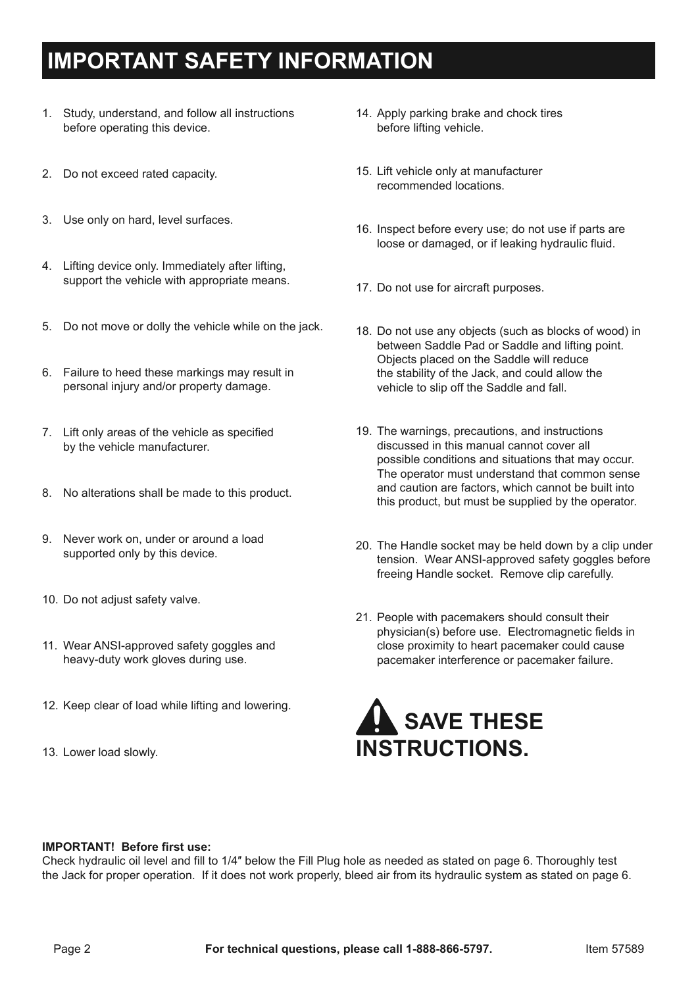# **IMPORTANT SAFETY INFORMATION**

- 1. Study, understand, and follow all instructions before operating this device.
- 2. Do not exceed rated capacity.
- 3. Use only on hard, level surfaces.
- 4. Lifting device only. Immediately after lifting, support the vehicle with appropriate means.
- 5. Do not move or dolly the vehicle while on the jack.
- 6. Failure to heed these markings may result in personal injury and/or property damage.
- 7. Lift only areas of the vehicle as specified by the vehicle manufacturer.
- 8. No alterations shall be made to this product.
- 9. Never work on, under or around a load supported only by this device.
- 10. Do not adjust safety valve.
- 11. Wear ANSI-approved safety goggles and heavy-duty work gloves during use.
- 12. Keep clear of load while lifting and lowering.
- 13. Lower load slowly.
- 14. Apply parking brake and chock tires before lifting vehicle.
- 15. Lift vehicle only at manufacturer recommended locations.
- 16. Inspect before every use; do not use if parts are loose or damaged, or if leaking hydraulic fluid.
- 17. Do not use for aircraft purposes.
- 18. Do not use any objects (such as blocks of wood) in between Saddle Pad or Saddle and lifting point. Objects placed on the Saddle will reduce the stability of the Jack, and could allow the vehicle to slip off the Saddle and fall.
- 19. The warnings, precautions, and instructions discussed in this manual cannot cover all possible conditions and situations that may occur. The operator must understand that common sense and caution are factors, which cannot be built into this product, but must be supplied by the operator.
- 20. The Handle socket may be held down by a clip under tension. Wear ANSI-approved safety goggles before freeing Handle socket. Remove clip carefully.
- 21. People with pacemakers should consult their physician(s) before use. Electromagnetic fields in close proximity to heart pacemaker could cause pacemaker interference or pacemaker failure.



#### **IMPORTANT! Before first use:**

Check hydraulic oil level and fill to 1/4″ below the Fill Plug hole as needed as stated on page 6. Thoroughly test the Jack for proper operation. If it does not work properly, bleed air from its hydraulic system as stated on page 6.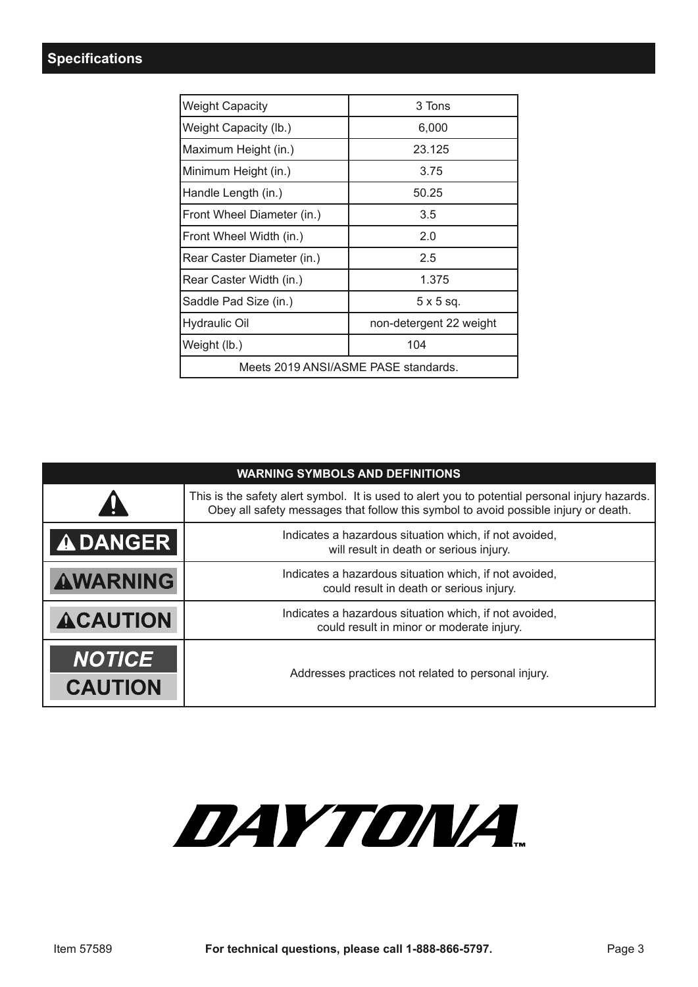| <b>Weight Capacity</b>               | 3 Tons                  |  |  |
|--------------------------------------|-------------------------|--|--|
| Weight Capacity (lb.)                | 6,000                   |  |  |
| Maximum Height (in.)                 | 23.125                  |  |  |
| Minimum Height (in.)                 | 3.75                    |  |  |
| Handle Length (in.)                  | 50.25                   |  |  |
| Front Wheel Diameter (in.)           | 3.5                     |  |  |
| Front Wheel Width (in.)              | 2.0                     |  |  |
| Rear Caster Diameter (in.)           | 2.5                     |  |  |
| Rear Caster Width (in.)              | 1.375                   |  |  |
| Saddle Pad Size (in.)                | $5 \times 5$ sq.        |  |  |
| Hydraulic Oil                        | non-detergent 22 weight |  |  |
| Weight (lb.)                         | 104                     |  |  |
| Meets 2019 ANSI/ASME PASE standards. |                         |  |  |

| <b>WARNING SYMBOLS AND DEFINITIONS</b> |                                                                                                                                                                                       |  |  |  |
|----------------------------------------|---------------------------------------------------------------------------------------------------------------------------------------------------------------------------------------|--|--|--|
| 11                                     | This is the safety alert symbol. It is used to alert you to potential personal injury hazards.<br>Obey all safety messages that follow this symbol to avoid possible injury or death. |  |  |  |
| <b>ADANGER</b>                         | Indicates a hazardous situation which, if not avoided,<br>will result in death or serious injury.                                                                                     |  |  |  |
| <b>AWARNING</b>                        | Indicates a hazardous situation which, if not avoided,<br>could result in death or serious injury.                                                                                    |  |  |  |
| <b>ACAUTION</b>                        | Indicates a hazardous situation which, if not avoided,<br>could result in minor or moderate injury.                                                                                   |  |  |  |
| <b>NOTICE</b><br><b>CAUTION</b>        | Addresses practices not related to personal injury.                                                                                                                                   |  |  |  |

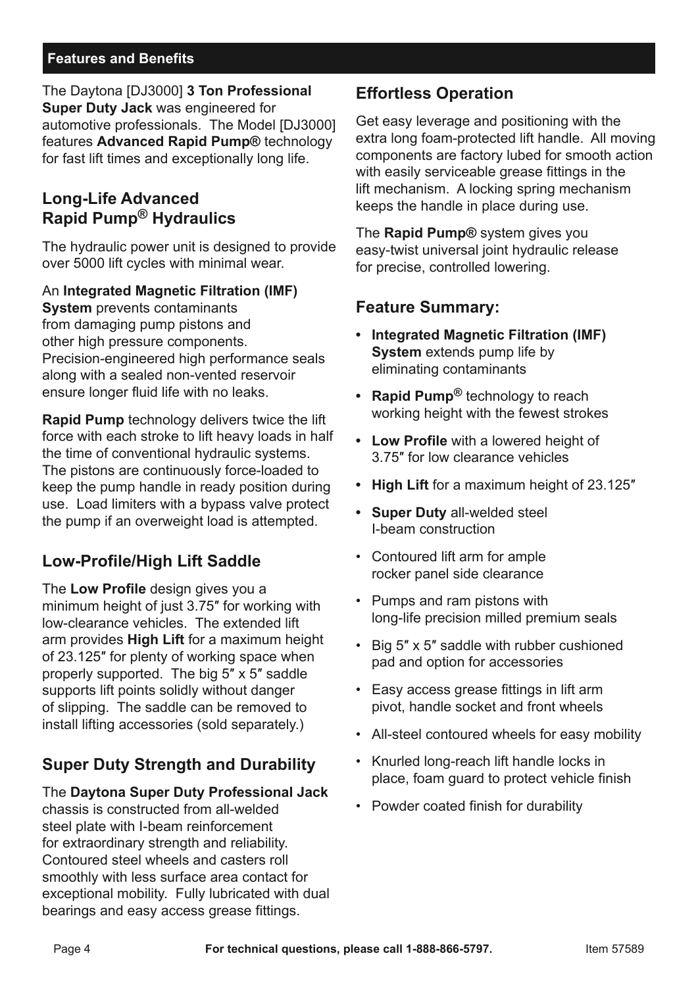#### **Features and Benefits**

The Daytona [DJ3000] **3 Ton Professional Super Duty Jack** was engineered for automotive professionals. The Model [DJ3000] features **Advanced Rapid Pump®** technology for fast lift times and exceptionally long life.

### **Long-Life Advanced Rapid Pump® Hydraulics**

The hydraulic power unit is designed to provide over 5000 lift cycles with minimal wear.

#### An **Integrated Magnetic Filtration (IMF)**

**System** prevents contaminants from damaging pump pistons and other high pressure components. Precision-engineered high performance seals along with a sealed non-vented reservoir ensure longer fluid life with no leaks.

**Rapid Pump** technology delivers twice the lift force with each stroke to lift heavy loads in half the time of conventional hydraulic systems. The pistons are continuously force-loaded to keep the pump handle in ready position during use. Load limiters with a bypass valve protect the pump if an overweight load is attempted.

### **Low-Profile/High Lift Saddle**

The **Low Profile** design gives you a minimum height of just 3.75″ for working with low-clearance vehicles. The extended lift arm provides **High Lift** for a maximum height of 23.125″ for plenty of working space when properly supported. The big 5″ x 5″ saddle supports lift points solidly without danger of slipping. The saddle can be removed to install lifting accessories (sold separately.)

### **Super Duty Strength and Durability**

#### The **Daytona Super Duty Professional Jack**

chassis is constructed from all-welded steel plate with I-beam reinforcement for extraordinary strength and reliability. Contoured steel wheels and casters roll smoothly with less surface area contact for exceptional mobility. Fully lubricated with dual bearings and easy access grease fittings.

### **Effortless Operation**

Get easy leverage and positioning with the extra long foam-protected lift handle. All moving components are factory lubed for smooth action with easily serviceable grease fittings in the lift mechanism. A locking spring mechanism keeps the handle in place during use.

The **Rapid Pump®** system gives you easy-twist universal joint hydraulic release for precise, controlled lowering.

### **Feature Summary:**

- **• Integrated Magnetic Filtration (IMF) System** extends pump life by eliminating contaminants
- **• Rapid Pump®** technology to reach working height with the fewest strokes
- **• Low Profile** with a lowered height of 3.75″ for low clearance vehicles
- **• High Lift** for a maximum height of 23.125″
- **• Super Duty** all-welded steel I-beam construction
- Contoured lift arm for ample rocker panel side clearance
- Pumps and ram pistons with long-life precision milled premium seals
- Big 5″ x 5″ saddle with rubber cushioned pad and option for accessories
- Easy access grease fittings in lift arm pivot, handle socket and front wheels
- All-steel contoured wheels for easy mobility
- Knurled long-reach lift handle locks in place, foam guard to protect vehicle finish
- Powder coated finish for durability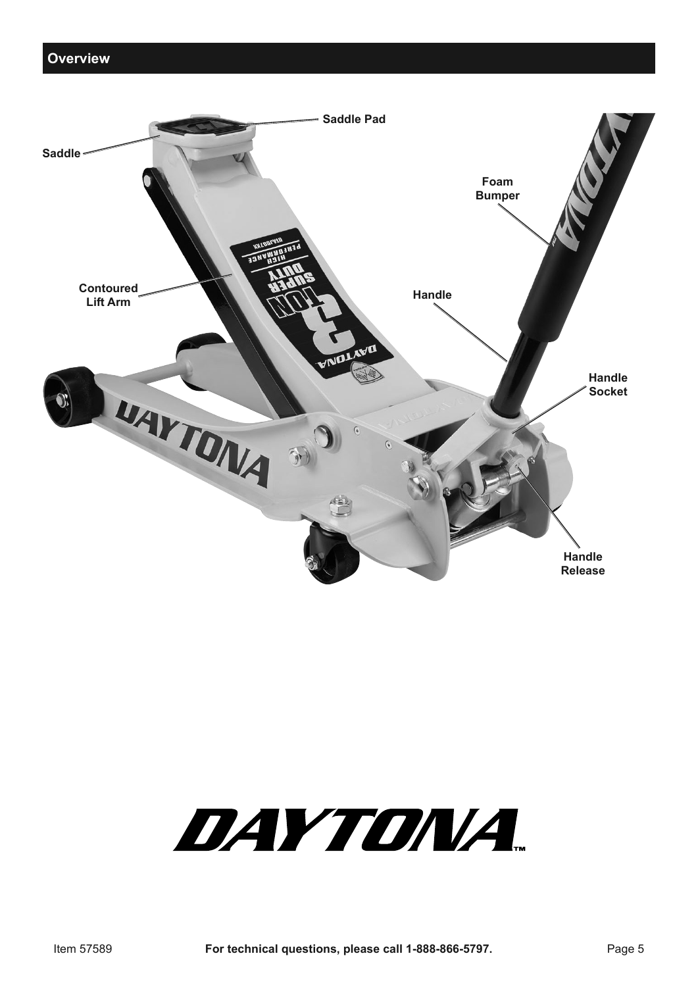

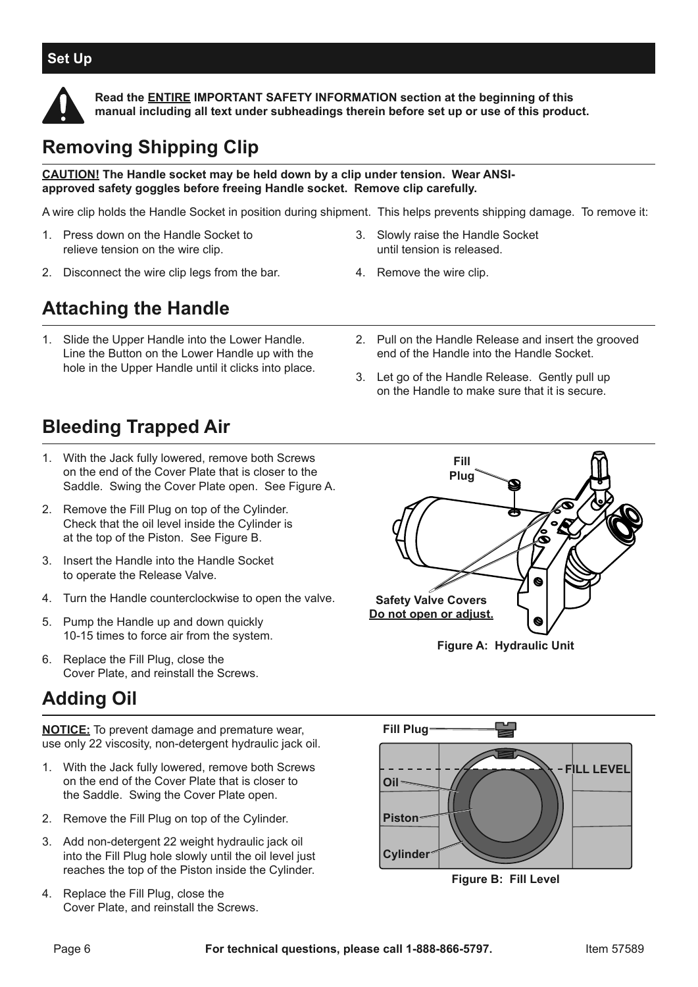#### **Set Up**



**Read the ENTIRE IMPORTANT SAFETY INFORMATION section at the beginning of this manual including all text under subheadings therein before set up or use of this product.**

# **Removing Shipping Clip**

**CAUTION! The Handle socket may be held down by a clip under tension. Wear ANSIapproved safety goggles before freeing Handle socket. Remove clip carefully.** 

A wire clip holds the Handle Socket in position during shipment. This helps prevents shipping damage. To remove it:

- 1. Press down on the Handle Socket to relieve tension on the wire clip.
- 2. Disconnect the wire clip legs from the bar.

#### 3. Slowly raise the Handle Socket until tension is released.

4. Remove the wire clip.

# **Attaching the Handle**

- 1. Slide the Upper Handle into the Lower Handle. Line the Button on the Lower Handle up with the hole in the Upper Handle until it clicks into place.
- 2. Pull on the Handle Release and insert the grooved end of the Handle into the Handle Socket.
- 3. Let go of the Handle Release. Gently pull up on the Handle to make sure that it is secure.

## **Bleeding Trapped Air**

- 1. With the Jack fully lowered, remove both Screws on the end of the Cover Plate that is closer to the Saddle. Swing the Cover Plate open. See Figure A.
- 2. Remove the Fill Plug on top of the Cylinder. Check that the oil level inside the Cylinder is at the top of the Piston. See Figure B.
- 3. Insert the Handle into the Handle Socket to operate the Release Valve.
- 4. Turn the Handle counterclockwise to open the valve.
- 5. Pump the Handle up and down quickly 10-15 times to force air from the system.
- 6. Replace the Fill Plug, close the Cover Plate, and reinstall the Screws.

# **Adding Oil**

**NOTICE:** To prevent damage and premature wear, use only 22 viscosity, non-detergent hydraulic jack oil.

- 1. With the Jack fully lowered, remove both Screws on the end of the Cover Plate that is closer to the Saddle. Swing the Cover Plate open.
- 2. Remove the Fill Plug on top of the Cylinder.
- 3. Add non-detergent 22 weight hydraulic jack oil into the Fill Plug hole slowly until the oil level just reaches the top of the Piston inside the Cylinder.
- 4. Replace the Fill Plug, close the Cover Plate, and reinstall the Screws.



**Figure A: Hydraulic Unit**



**Figure B: Fill Level**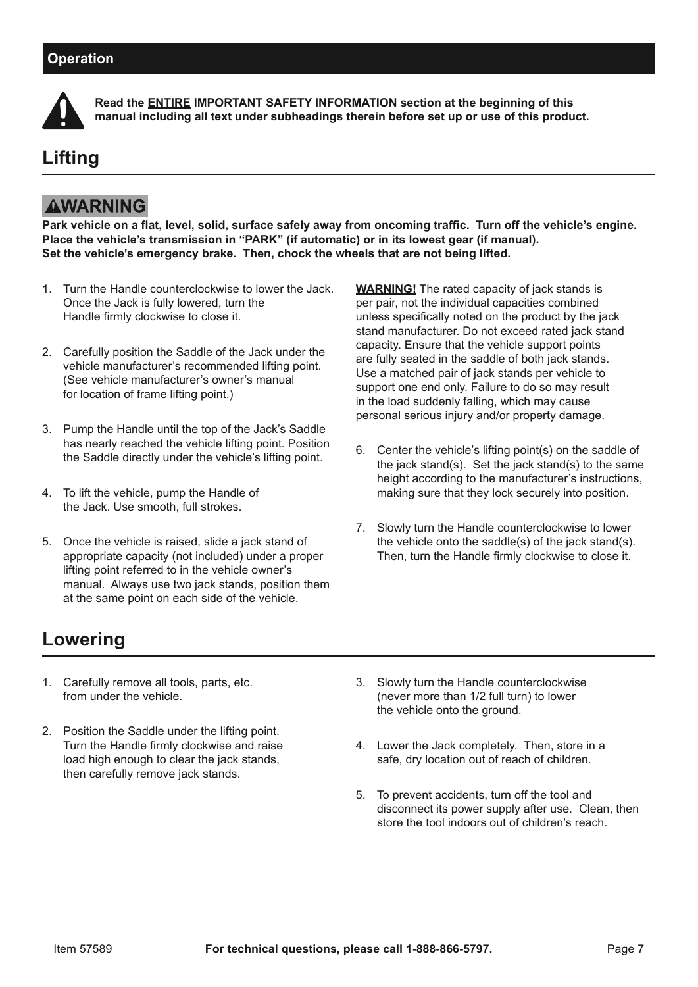

**Read the ENTIRE IMPORTANT SAFETY INFORMATION section at the beginning of this manual including all text under subheadings therein before set up or use of this product.**

# **Lifting**

### **AWARNING**

**Park vehicle on a flat, level, solid, surface safely away from oncoming traffic. Turn off the vehicle's engine. Place the vehicle's transmission in "PARK" (if automatic) or in its lowest gear (if manual). Set the vehicle's emergency brake. Then, chock the wheels that are not being lifted.**

- 1. Turn the Handle counterclockwise to lower the Jack. Once the Jack is fully lowered, turn the Handle firmly clockwise to close it.
- 2. Carefully position the Saddle of the Jack under the vehicle manufacturer's recommended lifting point. (See vehicle manufacturer's owner's manual for location of frame lifting point.)
- 3. Pump the Handle until the top of the Jack's Saddle has nearly reached the vehicle lifting point. Position the Saddle directly under the vehicle's lifting point.
- 4. To lift the vehicle, pump the Handle of the Jack. Use smooth, full strokes.
- 5. Once the vehicle is raised, slide a jack stand of appropriate capacity (not included) under a proper lifting point referred to in the vehicle owner's manual. Always use two jack stands, position them at the same point on each side of the vehicle.

**WARNING!** The rated capacity of jack stands is per pair, not the individual capacities combined unless specifically noted on the product by the jack stand manufacturer. Do not exceed rated jack stand capacity. Ensure that the vehicle support points are fully seated in the saddle of both jack stands. Use a matched pair of jack stands per vehicle to support one end only. Failure to do so may result in the load suddenly falling, which may cause personal serious injury and/or property damage.

- 6. Center the vehicle's lifting point(s) on the saddle of the jack stand(s). Set the jack stand(s) to the same height according to the manufacturer's instructions, making sure that they lock securely into position.
- 7. Slowly turn the Handle counterclockwise to lower the vehicle onto the saddle(s) of the jack stand(s). Then, turn the Handle firmly clockwise to close it.

# **Lowering**

- 1. Carefully remove all tools, parts, etc. from under the vehicle.
- 2. Position the Saddle under the lifting point. Turn the Handle firmly clockwise and raise load high enough to clear the jack stands, then carefully remove jack stands.
- 3. Slowly turn the Handle counterclockwise (never more than 1/2 full turn) to lower the vehicle onto the ground.
- 4. Lower the Jack completely. Then, store in a safe, dry location out of reach of children.
- 5. To prevent accidents, turn off the tool and disconnect its power supply after use. Clean, then store the tool indoors out of children's reach.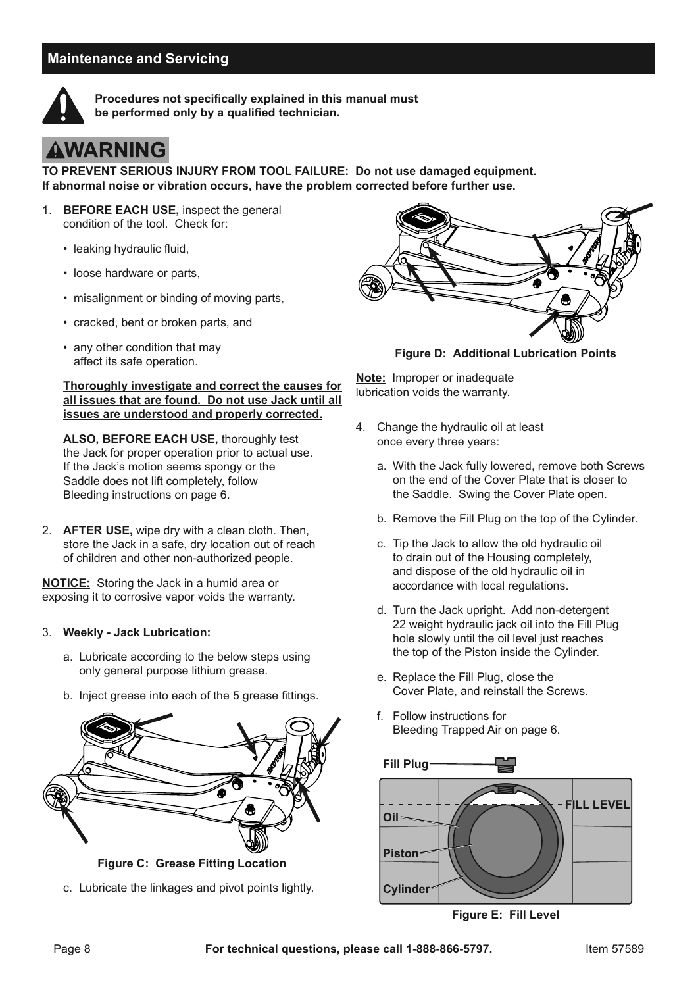#### **Maintenance and Servicing**



**Procedures not specifically explained in this manual must be performed only by a qualified technician.**

## **AWARNING**

**TO PREVENT SERIOUS INJURY FROM TOOL FAILURE: Do not use damaged equipment. If abnormal noise or vibration occurs, have the problem corrected before further use.**

- 1. **BEFORE EACH USE,** inspect the general condition of the tool. Check for:
	- leaking hydraulic fluid,
	- loose hardware or parts,
	- misalignment or binding of moving parts,
	- cracked, bent or broken parts, and
	- any other condition that may affect its safe operation.

#### **Thoroughly investigate and correct the causes for all issues that are found. Do not use Jack until all issues are understood and properly corrected.**

**ALSO, BEFORE EACH USE,** thoroughly test the Jack for proper operation prior to actual use. If the Jack's motion seems spongy or the Saddle does not lift completely, follow Bleeding instructions on page 6.

2. **AFTER USE,** wipe dry with a clean cloth. Then, store the Jack in a safe, dry location out of reach of children and other non-authorized people.

**NOTICE:** Storing the Jack in a humid area or exposing it to corrosive vapor voids the warranty.

#### 3. **Weekly - Jack Lubrication:**

- a. Lubricate according to the below steps using only general purpose lithium grease.
- b. Inject grease into each of the 5 grease fittings.



**Figure C: Grease Fitting Location**

c. Lubricate the linkages and pivot points lightly.



**Figure D: Additional Lubrication Points**

**Note:** Improper or inadequate lubrication voids the warranty.

- 4. Change the hydraulic oil at least once every three years:
	- a. With the Jack fully lowered, remove both Screws on the end of the Cover Plate that is closer to the Saddle. Swing the Cover Plate open.
	- b. Remove the Fill Plug on the top of the Cylinder.
	- c. Tip the Jack to allow the old hydraulic oil to drain out of the Housing completely, and dispose of the old hydraulic oil in accordance with local regulations.
	- d. Turn the Jack upright. Add non-detergent 22 weight hydraulic jack oil into the Fill Plug hole slowly until the oil level just reaches the top of the Piston inside the Cylinder.
	- e. Replace the Fill Plug, close the Cover Plate, and reinstall the Screws.
	- f. Follow instructions for Bleeding Trapped Air on page 6.



**Figure E: Fill Level**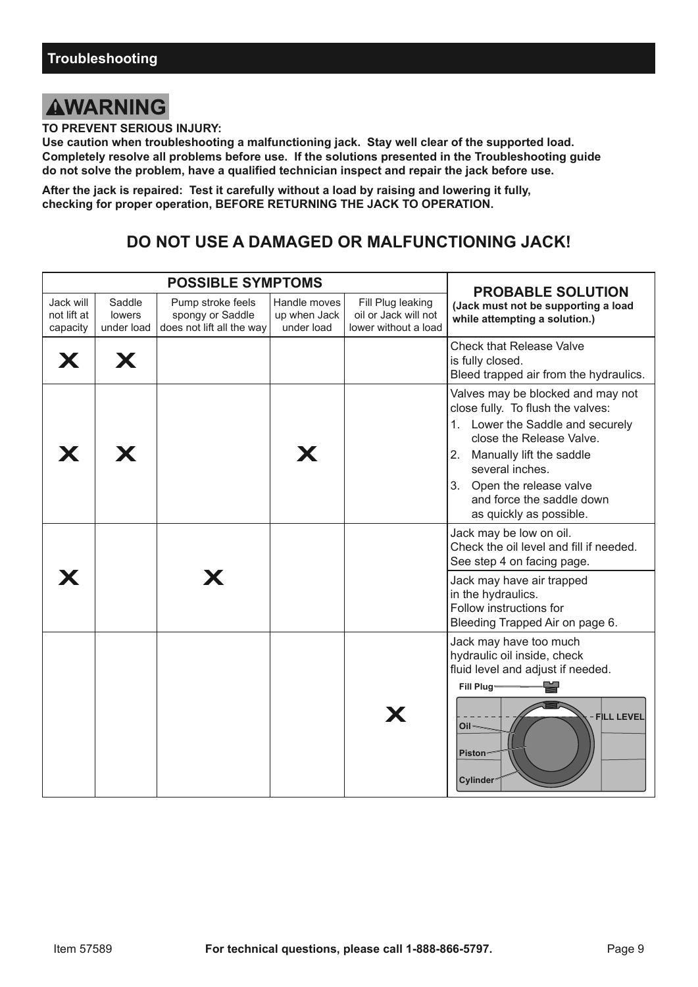### **AWARNING**

**TO PREVENT SERIOUS INJURY:**

**Use caution when troubleshooting a malfunctioning jack. Stay well clear of the supported load. Completely resolve all problems before use. If the solutions presented in the Troubleshooting guide do not solve the problem, have a qualified technician inspect and repair the jack before use.**

**After the jack is repaired: Test it carefully without a load by raising and lowering it fully, checking for proper operation, BEFORE RETURNING THE JACK TO OPERATION.**

### **DO NOT USE A DAMAGED OR MALFUNCTIONING JACK!**

| <b>POSSIBLE SYMPTOMS</b>             |                                |                                                                    |                                            |                                                                   |                                                                                                                                                                                                                                                                               |  |
|--------------------------------------|--------------------------------|--------------------------------------------------------------------|--------------------------------------------|-------------------------------------------------------------------|-------------------------------------------------------------------------------------------------------------------------------------------------------------------------------------------------------------------------------------------------------------------------------|--|
| Jack will<br>not lift at<br>capacity | Saddle<br>lowers<br>under load | Pump stroke feels<br>spongy or Saddle<br>does not lift all the way | Handle moves<br>up when Jack<br>under load | Fill Plug leaking<br>oil or Jack will not<br>lower without a load | <b>PROBABLE SOLUTION</b><br>(Jack must not be supporting a load<br>while attempting a solution.)                                                                                                                                                                              |  |
| X                                    | X                              |                                                                    |                                            |                                                                   | <b>Check that Release Valve</b><br>is fully closed.<br>Bleed trapped air from the hydraulics.                                                                                                                                                                                 |  |
|                                      | Х                              |                                                                    | X                                          |                                                                   | Valves may be blocked and may not<br>close fully. To flush the valves:<br>1. Lower the Saddle and securely<br>close the Release Valve.<br>2. Manually lift the saddle<br>several inches.<br>3. Open the release valve<br>and force the saddle down<br>as quickly as possible. |  |
|                                      |                                |                                                                    |                                            |                                                                   | Jack may be low on oil.<br>Check the oil level and fill if needed.<br>See step 4 on facing page.                                                                                                                                                                              |  |
|                                      |                                |                                                                    |                                            |                                                                   | Jack may have air trapped<br>in the hydraulics.<br>Follow instructions for<br>Bleeding Trapped Air on page 6.                                                                                                                                                                 |  |
|                                      |                                |                                                                    |                                            | X                                                                 | Jack may have too much<br>hydraulic oil inside, check<br>fluid level and adjust if needed.<br>Fill Plug-<br>FILL LEVEL<br>Oil <sup>®</sup><br><b>Piston</b><br>Cylinder <sup>®</sup>                                                                                          |  |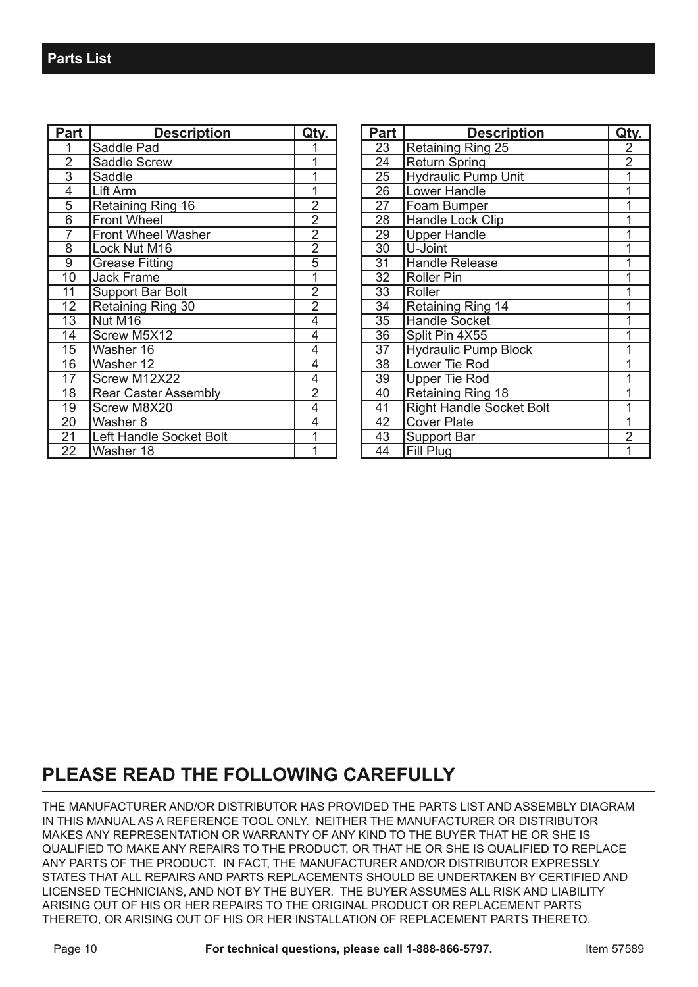| <b>Part</b>    | <b>Description</b>          | Qtv.           |
|----------------|-----------------------------|----------------|
| 1              | Saddle Pad                  |                |
| $\overline{2}$ | <b>Saddle Screw</b>         |                |
| $\overline{3}$ | Saddle                      |                |
| 4              | Lift Arm                    |                |
| 5              | Retaining Ring 16           | $\overline{c}$ |
| 6              | <b>Front Wheel</b>          | $\overline{2}$ |
| 7              | <b>Front Wheel Washer</b>   | $\overline{2}$ |
| $\overline{8}$ | Lock Nut M16                | $\overline{2}$ |
| $\overline{9}$ | <b>Grease Fitting</b>       | $\overline{5}$ |
| 10             | <b>Jack Frame</b>           | 1              |
| 11             | <b>Support Bar Bolt</b>     | $\overline{2}$ |
| 12             | Retaining Ring 30           | $\overline{2}$ |
| 13             | Nut M16                     | 4              |
| 14             | Screw M5X12                 | 4              |
| 15             | Washer 16                   | 4              |
| 16             | Washer 12                   | 4              |
| 17             | Screw M12X22                | 4              |
| 18             | <b>Rear Caster Assembly</b> | $\overline{2}$ |
| 19             | Screw M8X20                 | 4              |
| 20             | Washer 8                    | 4              |
| 21             | Left Handle Socket Bolt     |                |
| 22             | Washer 18                   | 1              |

| <b>Part</b> | <b>Description</b>              | Qty.           |
|-------------|---------------------------------|----------------|
| 23          | Retaining Ring 25               | 2              |
| 24          | <b>Return Spring</b>            | $\overline{2}$ |
| 25          | <b>Hydraulic Pump Unit</b>      | $\overline{1}$ |
| 26          | Lower Handle                    | $\overline{1}$ |
| 27          | Foam Bumper                     | 1              |
| 28          | Handle Lock Clip                | 1              |
| 29          | <b>Upper Handle</b>             | 1              |
| 30          | U-Joint                         | 1              |
| 31          | <b>Handle Release</b>           | $\overline{1}$ |
| 32          | <b>Roller Pin</b>               | 1              |
| 33          | Roller                          | $\overline{1}$ |
| 34          | <b>Retaining Ring 14</b>        | 1              |
| 35          | <b>Handle Socket</b>            | $\overline{1}$ |
| 36          | Split Pin 4X55                  | 1              |
| 37          | <b>Hydraulic Pump Block</b>     |                |
| 38          | Lower Tie Rod                   | 1              |
| 39          | <b>Upper Tie Rod</b>            | 1              |
| 40          | Retaining Ring 18               | 1              |
| 41          | <b>Right Handle Socket Bolt</b> | 1              |
| 42          | <b>Cover Plate</b>              | $\overline{1}$ |
| 43          | Support Bar                     | $\overline{2}$ |
| 44          | Fill Plug                       |                |

### **PLEASE READ THE FOLLOWING CAREFULLY**

THE MANUFACTURER AND/OR DISTRIBUTOR HAS PROVIDED THE PARTS LIST AND ASSEMBLY DIAGRAM IN THIS MANUAL AS A REFERENCE TOOL ONLY. NEITHER THE MANUFACTURER OR DISTRIBUTOR MAKES ANY REPRESENTATION OR WARRANTY OF ANY KIND TO THE BUYER THAT HE OR SHE IS QUALIFIED TO MAKE ANY REPAIRS TO THE PRODUCT, OR THAT HE OR SHE IS QUALIFIED TO REPLACE ANY PARTS OF THE PRODUCT. IN FACT, THE MANUFACTURER AND/OR DISTRIBUTOR EXPRESSLY STATES THAT ALL REPAIRS AND PARTS REPLACEMENTS SHOULD BE UNDERTAKEN BY CERTIFIED AND LICENSED TECHNICIANS, AND NOT BY THE BUYER. THE BUYER ASSUMES ALL RISK AND LIABILITY ARISING OUT OF HIS OR HER REPAIRS TO THE ORIGINAL PRODUCT OR REPLACEMENT PARTS THERETO, OR ARISING OUT OF HIS OR HER INSTALLATION OF REPLACEMENT PARTS THERETO.

Page 10 **For technical questions, please call 1-888-866-5797.** Item 57589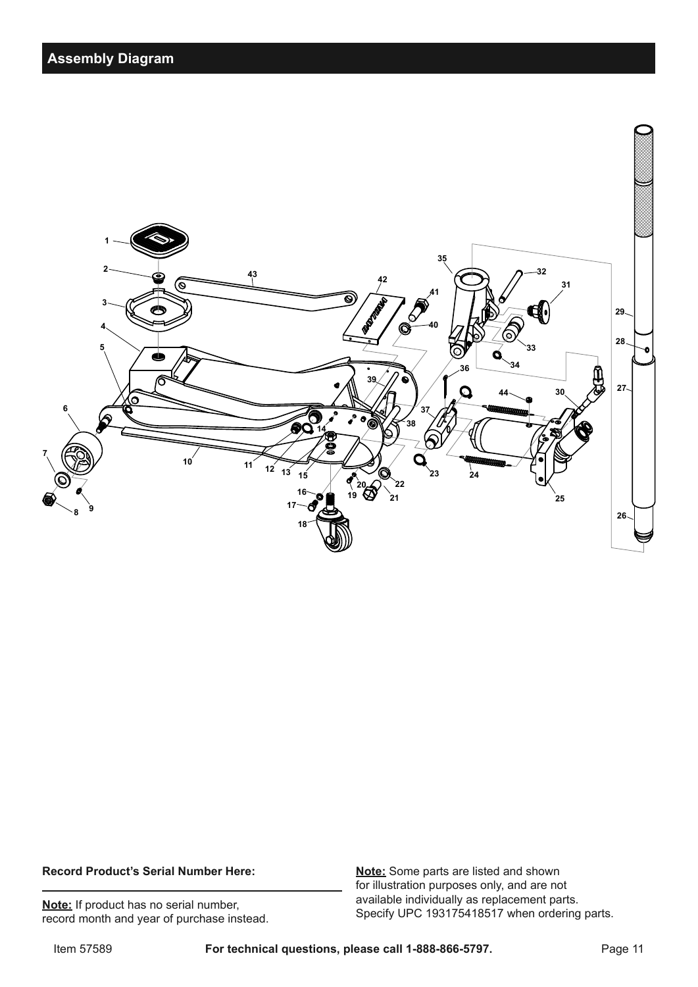

#### **Record Product's Serial Number Here:**

**Note:** If product has no serial number, record month and year of purchase instead. **Note:** Some parts are listed and shown for illustration purposes only, and are not available individually as replacement parts. Specify UPC 193175418517 when ordering parts.